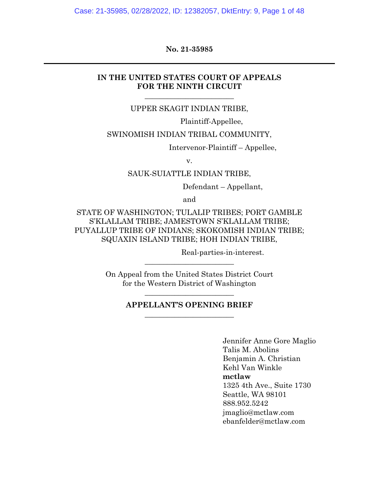Case: 21-35985, 02/28/2022, ID: 12382057, DktEntry: 9, Page 1 of 48

#### **No. 21-35985**

#### **IN THE UNITED STATES COURT OF APPEALS FOR THE NINTH CIRCUIT**

UPPER SKAGIT INDIAN TRIBE,

 $\overline{\phantom{a}}$  , where  $\overline{\phantom{a}}$  , where  $\overline{\phantom{a}}$  , where  $\overline{\phantom{a}}$ 

Plaintiff-Appellee,

SWINOMISH INDIAN TRIBAL COMMUNITY,

Intervenor-Plaintiff – Appellee,

v.

SAUK-SUIATTLE INDIAN TRIBE,

Defendant – Appellant,

and

STATE OF WASHINGTON; TULALIP TRIBES; PORT GAMBLE S'KLALLAM TRIBE; JAMESTOWN S'KLALLAM TRIBE; PUYALLUP TRIBE OF INDIANS; SKOKOMISH INDIAN TRIBE; SQUAXIN ISLAND TRIBE; HOH INDIAN TRIBE,

Real-parties-in-interest.

On Appeal from the United States District Court for the Western District of Washington

 $\overline{\phantom{a}}$  , where  $\overline{\phantom{a}}$  , where  $\overline{\phantom{a}}$  , where  $\overline{\phantom{a}}$ 

#### **APPELLANT'S OPENING BRIEF** \_\_\_\_\_\_\_\_\_\_\_\_\_\_\_\_\_\_\_\_\_\_\_\_

 $\overline{\phantom{a}}$  , where  $\overline{\phantom{a}}$  , where  $\overline{\phantom{a}}$  , where  $\overline{\phantom{a}}$ 

Jennifer Anne Gore Maglio Talis M. Abolins Benjamin A. Christian Kehl Van Winkle **mctlaw** 1325 4th Ave., Suite 1730 Seattle, WA 98101 888.952.5242 jmaglio@mctlaw.com ebanfelder@mctlaw.com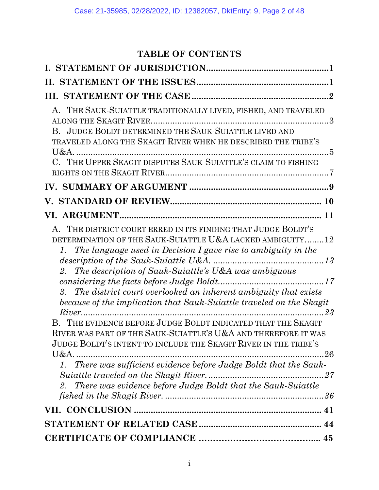# **TABLE OF CONTENTS**

| A. THE SAUK-SUIATTLE TRADITIONALLY LIVED, FISHED, AND TRAVELED<br>B. JUDGE BOLDT DETERMINED THE SAUK-SUIATTLE LIVED AND<br>TRAVELED ALONG THE SKAGIT RIVER WHEN HE DESCRIBED THE TRIBE'S<br>C. THE UPPER SKAGIT DISPUTES SAUK-SUIATTLE'S CLAIM TO FISHING                                                                                                                                                                                                                                                                                                                                                                                                                                                                                                        |
|------------------------------------------------------------------------------------------------------------------------------------------------------------------------------------------------------------------------------------------------------------------------------------------------------------------------------------------------------------------------------------------------------------------------------------------------------------------------------------------------------------------------------------------------------------------------------------------------------------------------------------------------------------------------------------------------------------------------------------------------------------------|
|                                                                                                                                                                                                                                                                                                                                                                                                                                                                                                                                                                                                                                                                                                                                                                  |
|                                                                                                                                                                                                                                                                                                                                                                                                                                                                                                                                                                                                                                                                                                                                                                  |
|                                                                                                                                                                                                                                                                                                                                                                                                                                                                                                                                                                                                                                                                                                                                                                  |
| A. THE DISTRICT COURT ERRED IN ITS FINDING THAT JUDGE BOLDT'S<br>DETERMINATION OF THE SAUK-SUIATTLE U&A LACKED AMBIGUITY12<br>1. The language used in Decision I gave rise to ambiguity in the<br>2. The description of Sauk-Suiattle's U&A was ambiguous<br>3. The district court overlooked an inherent ambiguity that exists<br>because of the implication that Sauk-Suiattle traveled on the Skagit<br>B. THE EVIDENCE BEFORE JUDGE BOLDT INDICATED THAT THE SKAGIT<br>RIVER WAS PART OF THE SAUK-SUIATTLE'S U&A AND THEREFORE IT WAS<br>JUDGE BOLDT'S INTENT TO INCLUDE THE SKAGIT RIVER IN THE TRIBE'S<br>$U&A$ .<br>There was sufficient evidence before Judge Boldt that the Sauk-<br>There was evidence before Judge Boldt that the Sauk-Suiattle<br>2. |
|                                                                                                                                                                                                                                                                                                                                                                                                                                                                                                                                                                                                                                                                                                                                                                  |
|                                                                                                                                                                                                                                                                                                                                                                                                                                                                                                                                                                                                                                                                                                                                                                  |
|                                                                                                                                                                                                                                                                                                                                                                                                                                                                                                                                                                                                                                                                                                                                                                  |
|                                                                                                                                                                                                                                                                                                                                                                                                                                                                                                                                                                                                                                                                                                                                                                  |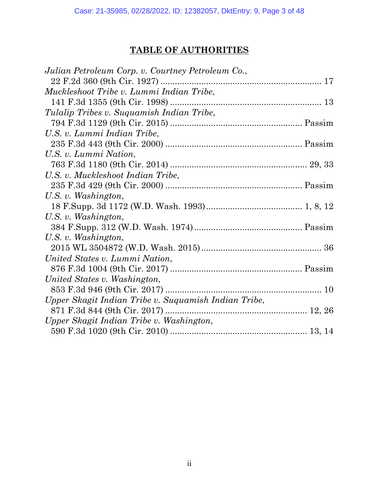# **TABLE OF AUTHORITIES**

| Julian Petroleum Corp. v. Courtney Petroleum Co.,    |  |
|------------------------------------------------------|--|
|                                                      |  |
| Muckleshoot Tribe v. Lummi Indian Tribe,             |  |
|                                                      |  |
| Tulalip Tribes v. Suquamish Indian Tribe,            |  |
|                                                      |  |
| U.S. v. Lummi Indian Tribe,                          |  |
|                                                      |  |
| U.S. v. Lummi Nation,                                |  |
|                                                      |  |
| U.S. v. Muckleshoot Indian Tribe,                    |  |
|                                                      |  |
| U.S. v. Washington,                                  |  |
|                                                      |  |
| U.S. v. Washington,                                  |  |
|                                                      |  |
| U.S. v. Washington,                                  |  |
|                                                      |  |
| United States v. Lummi Nation,                       |  |
|                                                      |  |
| United States v. Washington,                         |  |
|                                                      |  |
| Upper Skagit Indian Tribe v. Suquamish Indian Tribe, |  |
|                                                      |  |
| Upper Skagit Indian Tribe v. Washington,             |  |
|                                                      |  |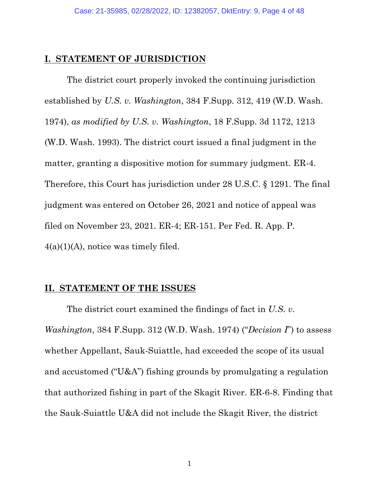### <span id="page-3-0"></span>**I. STATEMENT OF JURISDICTION**

The district court properly invoked the continuing jurisdiction established by *U.S. v. Washington*, 384 F.Supp. 312, 419 (W.D. Wash. 1974), *as modified by U.S. v. Washington*, 18 F.Supp. 3d 1172, 1213 (W.D. Wash. 1993). The district court issued a final judgment in the matter, granting a dispositive motion for summary judgment. ER-4. Therefore, this Court has jurisdiction under 28 U.S.C. § 1291. The final judgment was entered on October 26, 2021 and notice of appeal was filed on November 23, 2021. ER-4; ER-151. Per Fed. R. App. P.  $4(a)(1)(A)$ , notice was timely filed.

### **II. STATEMENT OF THE ISSUES**

The district court examined the findings of fact in *U.S. v. Washington*, 384 F.Supp. 312 (W.D. Wash. 1974) ("*Decision I*") to assess whether Appellant, Sauk-Suiattle, had exceeded the scope of its usual and accustomed ("U&A") fishing grounds by promulgating a regulation that authorized fishing in part of the Skagit River. ER-6-8. Finding that the Sauk-Suiattle U&A did not include the Skagit River, the district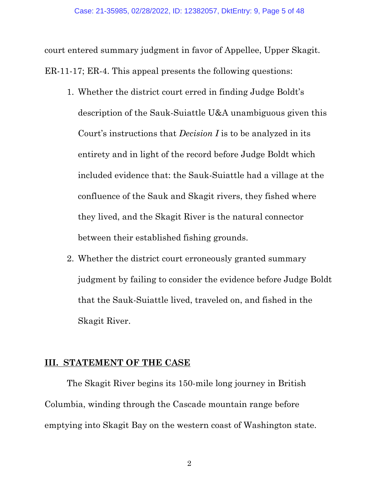<span id="page-4-0"></span>court entered summary judgment in favor of Appellee, Upper Skagit. ER-11-17; ER-4. This appeal presents the following questions:

- 1. Whether the district court erred in finding Judge Boldt's description of the Sauk-Suiattle U&A unambiguous given this Court's instructions that *Decision I* is to be analyzed in its entirety and in light of the record before Judge Boldt which included evidence that: the Sauk-Suiattle had a village at the confluence of the Sauk and Skagit rivers, they fished where they lived, and the Skagit River is the natural connector between their established fishing grounds.
- 2. Whether the district court erroneously granted summary judgment by failing to consider the evidence before Judge Boldt that the Sauk-Suiattle lived, traveled on, and fished in the Skagit River.

### **III. STATEMENT OF THE CASE**

The Skagit River begins its 150-mile long journey in British Columbia, winding through the Cascade mountain range before emptying into Skagit Bay on the western coast of Washington state.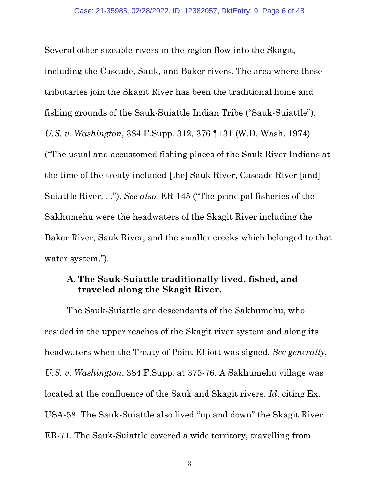<span id="page-5-0"></span>Several other sizeable rivers in the region flow into the Skagit, including the Cascade, Sauk, and Baker rivers. The area where these tributaries join the Skagit River has been the traditional home and fishing grounds of the Sauk-Suiattle Indian Tribe ("Sauk-Suiattle"). *U.S. v. Washington*, 384 F.Supp. 312, 376 ¶131 (W.D. Wash. 1974) ("The usual and accustomed fishing places of the Sauk River Indians at the time of the treaty included [the] Sauk River, Cascade River [and] Suiattle River. . ."). *See also*, ER-145 ("The principal fisheries of the Sakhumehu were the headwaters of the Skagit River including the Baker River, Sauk River, and the smaller creeks which belonged to that water system.").

### **A. The Sauk-Suiattle traditionally lived, fished, and traveled along the Skagit River.**

The Sauk-Suiattle are descendants of the Sakhumehu, who resided in the upper reaches of the Skagit river system and along its headwaters when the Treaty of Point Elliott was signed. *See generally*, *U.S. v. Washington*, 384 F.Supp. at 375-76. A Sakhumehu village was located at the confluence of the Sauk and Skagit rivers. *Id*. citing Ex. USA-58. The Sauk-Suiattle also lived "up and down" the Skagit River. ER-71. The Sauk-Suiattle covered a wide territory, travelling from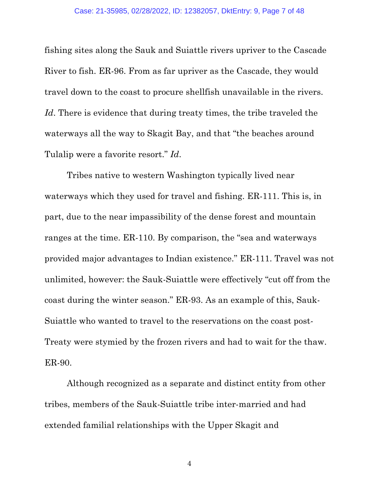fishing sites along the Sauk and Suiattle rivers upriver to the Cascade River to fish. ER-96. From as far upriver as the Cascade, they would travel down to the coast to procure shellfish unavailable in the rivers. Id. There is evidence that during treaty times, the tribe traveled the waterways all the way to Skagit Bay, and that "the beaches around Tulalip were a favorite resort." *Id*.

Tribes native to western Washington typically lived near waterways which they used for travel and fishing. ER-111. This is, in part, due to the near impassibility of the dense forest and mountain ranges at the time. ER-110. By comparison, the "sea and waterways provided major advantages to Indian existence." ER-111. Travel was not unlimited, however: the Sauk-Suiattle were effectively "cut off from the coast during the winter season." ER-93. As an example of this, Sauk-Suiattle who wanted to travel to the reservations on the coast post-Treaty were stymied by the frozen rivers and had to wait for the thaw. ER-90.

Although recognized as a separate and distinct entity from other tribes, members of the Sauk-Suiattle tribe inter-married and had extended familial relationships with the Upper Skagit and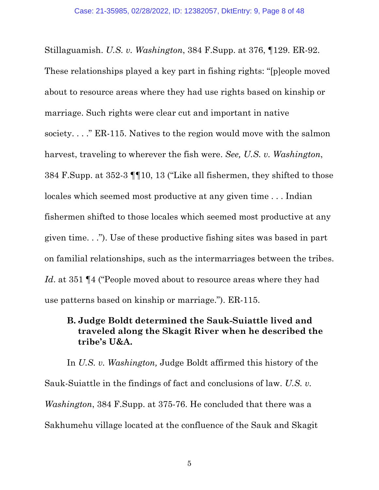<span id="page-7-0"></span>Stillaguamish. *U.S. v. Washington*, 384 F.Supp. at 376, ¶129. ER-92. These relationships played a key part in fishing rights: "[p]eople moved about to resource areas where they had use rights based on kinship or marriage. Such rights were clear cut and important in native society. . . ." ER-115. Natives to the region would move with the salmon harvest, traveling to wherever the fish were. *See, U.S. v. Washington*, 384 F.Supp. at 352-3 ¶¶10, 13 ("Like all fishermen, they shifted to those locales which seemed most productive at any given time . . . Indian fishermen shifted to those locales which seemed most productive at any given time. . ."). Use of these productive fishing sites was based in part on familial relationships, such as the intermarriages between the tribes. *Id*. at 351 [4] ("People moved about to resource areas where they had use patterns based on kinship or marriage."). ER-115.

## **B. Judge Boldt determined the Sauk-Suiattle lived and traveled along the Skagit River when he described the tribe's U&A.**

In *U.S. v. Washington,* Judge Boldt affirmed this history of the Sauk-Suiattle in the findings of fact and conclusions of law. *U.S. v. Washington*, 384 F.Supp. at 375-76. He concluded that there was a Sakhumehu village located at the confluence of the Sauk and Skagit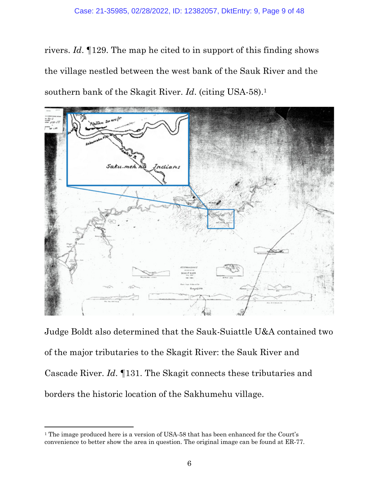rivers. *Id*. ¶129. The map he cited to in support of this finding shows the village nestled between the west bank of the Sauk River and the southern bank of the Skagit River. *Id*. (citing USA-58).1



Judge Boldt also determined that the Sauk-Suiattle U&A contained two of the major tributaries to the Skagit River: the Sauk River and Cascade River. *Id*. ¶131. The Skagit connects these tributaries and borders the historic location of the Sakhumehu village.

<sup>&</sup>lt;sup>1</sup> The image produced here is a version of USA-58 that has been enhanced for the Court's convenience to better show the area in question. The original image can be found at ER-77.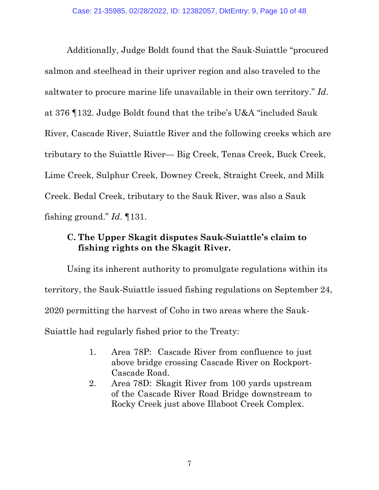<span id="page-9-0"></span>Additionally, Judge Boldt found that the Sauk-Suiattle "procured salmon and steelhead in their upriver region and also traveled to the saltwater to procure marine life unavailable in their own territory." *Id*. at 376 ¶132. Judge Boldt found that the tribe's U&A "included Sauk River, Cascade River, Suiattle River and the following creeks which are tributary to the Suiattle River— Big Creek, Tenas Creek, Buck Creek, Lime Creek, Sulphur Creek, Downey Creek, Straight Creek, and Milk Creek. Bedal Creek, tributary to the Sauk River, was also a Sauk fishing ground." *Id*. ¶131.

# **C. The Upper Skagit disputes Sauk-Suiattle's claim to fishing rights on the Skagit River.**

Using its inherent authority to promulgate regulations within its territory, the Sauk-Suiattle issued fishing regulations on September 24, 2020 permitting the harvest of Coho in two areas where the Sauk-Suiattle had regularly fished prior to the Treaty:

- 1. Area 78P: Cascade River from confluence to just above bridge crossing Cascade River on Rockport-Cascade Road.
- 2. Area 78D: Skagit River from 100 yards upstream of the Cascade River Road Bridge downstream to Rocky Creek just above Illaboot Creek Complex.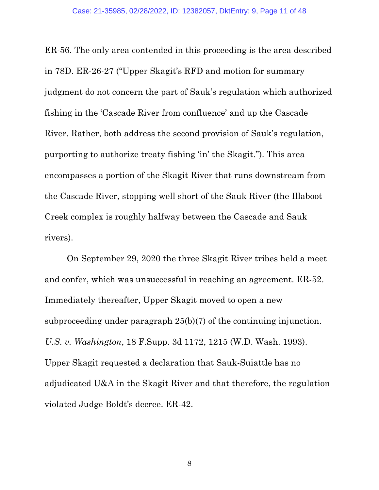ER-56. The only area contended in this proceeding is the area described in 78D. ER-26-27 ("Upper Skagit's RFD and motion for summary judgment do not concern the part of Sauk's regulation which authorized fishing in the 'Cascade River from confluence' and up the Cascade River. Rather, both address the second provision of Sauk's regulation, purporting to authorize treaty fishing 'in' the Skagit."). This area encompasses a portion of the Skagit River that runs downstream from the Cascade River, stopping well short of the Sauk River (the Illaboot Creek complex is roughly halfway between the Cascade and Sauk rivers).

On September 29, 2020 the three Skagit River tribes held a meet and confer, which was unsuccessful in reaching an agreement. ER-52. Immediately thereafter, Upper Skagit moved to open a new subproceeding under paragraph 25(b)(7) of the continuing injunction. *U.S. v. Washington*, 18 F.Supp. 3d 1172, 1215 (W.D. Wash. 1993). Upper Skagit requested a declaration that Sauk-Suiattle has no adjudicated U&A in the Skagit River and that therefore, the regulation violated Judge Boldt's decree. ER-42.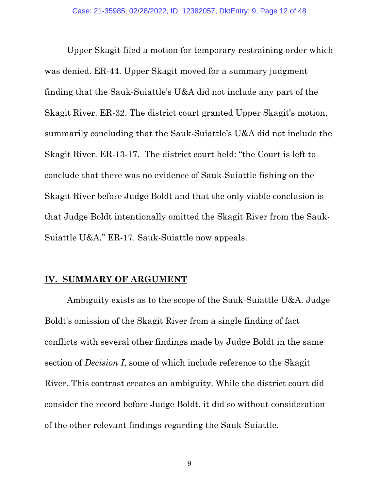<span id="page-11-0"></span>Upper Skagit filed a motion for temporary restraining order which was denied. ER-44. Upper Skagit moved for a summary judgment finding that the Sauk-Suiattle's U&A did not include any part of the Skagit River. ER-32. The district court granted Upper Skagit's motion, summarily concluding that the Sauk-Suiattle's U&A did not include the Skagit River. ER-13-17. The district court held: "the Court is left to conclude that there was no evidence of Sauk-Suiattle fishing on the Skagit River before Judge Boldt and that the only viable conclusion is that Judge Boldt intentionally omitted the Skagit River from the Sauk-Suiattle U&A." ER-17. Sauk-Suiattle now appeals.

### **IV. SUMMARY OF ARGUMENT**

Ambiguity exists as to the scope of the Sauk-Suiattle U&A. Judge Boldt's omission of the Skagit River from a single finding of fact conflicts with several other findings made by Judge Boldt in the same section of *Decision I*, some of which include reference to the Skagit River. This contrast creates an ambiguity. While the district court did consider the record before Judge Boldt, it did so without consideration of the other relevant findings regarding the Sauk-Suiattle.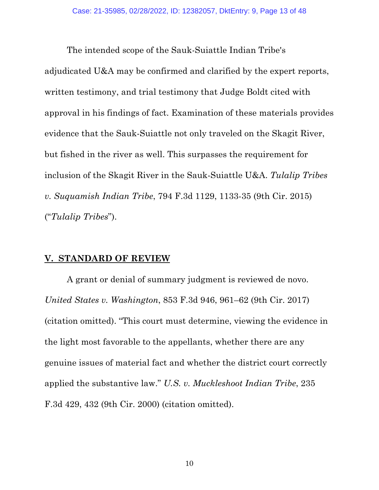<span id="page-12-0"></span>The intended scope of the Sauk-Suiattle Indian Tribe's adjudicated U&A may be confirmed and clarified by the expert reports, written testimony, and trial testimony that Judge Boldt cited with approval in his findings of fact. Examination of these materials provides evidence that the Sauk-Suiattle not only traveled on the Skagit River, but fished in the river as well. This surpasses the requirement for inclusion of the Skagit River in the Sauk-Suiattle U&A. *Tulalip Tribes v. Suquamish Indian Tribe*, 794 F.3d 1129, 1133-35 (9th Cir. 2015) ("*Tulalip Tribes*").

#### **V. STANDARD OF REVIEW**

A grant or denial of summary judgment is reviewed de novo. *United States v. Washington*, 853 F.3d 946, 961–62 (9th Cir. 2017) (citation omitted). "This court must determine, viewing the evidence in the light most favorable to the appellants, whether there are any genuine issues of material fact and whether the district court correctly applied the substantive law." *U.S. v. Muckleshoot Indian Tribe*, 235 F.3d 429, 432 (9th Cir. 2000) (citation omitted).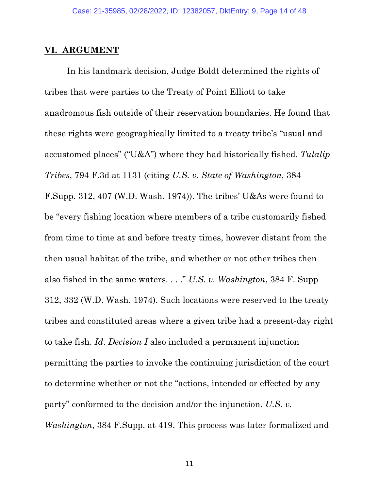#### <span id="page-13-0"></span>**VI. ARGUMENT**

In his landmark decision, Judge Boldt determined the rights of tribes that were parties to the Treaty of Point Elliott to take anadromous fish outside of their reservation boundaries. He found that these rights were geographically limited to a treaty tribe's "usual and accustomed places" ("U&A") where they had historically fished. *Tulalip Tribes*, 794 F.3d at 1131 (citing *U.S. v. State of Washington*, 384 F.Supp. 312, 407 (W.D. Wash. 1974)). The tribes' U&As were found to be "every fishing location where members of a tribe customarily fished from time to time at and before treaty times, however distant from the then usual habitat of the tribe, and whether or not other tribes then also fished in the same waters. . . ." *U.S. v. Washington*, 384 F. Supp 312, 332 (W.D. Wash. 1974). Such locations were reserved to the treaty tribes and constituted areas where a given tribe had a present-day right to take fish. *Id*. *Decision I* also included a permanent injunction permitting the parties to invoke the continuing jurisdiction of the court to determine whether or not the "actions, intended or effected by any party" conformed to the decision and/or the injunction. *U.S. v. Washington*, 384 F.Supp. at 419. This process was later formalized and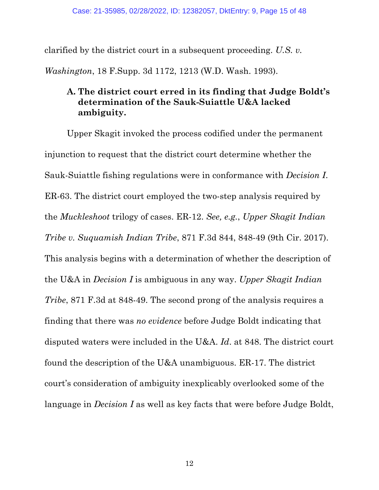<span id="page-14-0"></span>clarified by the district court in a subsequent proceeding. *U.S. v.* 

*Washington*, 18 F.Supp. 3d 1172, 1213 (W.D. Wash. 1993).

# **A. The district court erred in its finding that Judge Boldt's determination of the Sauk-Suiattle U&A lacked ambiguity.**

Upper Skagit invoked the process codified under the permanent injunction to request that the district court determine whether the Sauk-Suiattle fishing regulations were in conformance with *Decision I*. ER-63. The district court employed the two-step analysis required by the *Muckleshoot* trilogy of cases. ER-12. *See, e.g.*, *Upper Skagit Indian Tribe v. Suquamish Indian Tribe*, 871 F.3d 844, 848-49 (9th Cir. 2017). This analysis begins with a determination of whether the description of the U&A in *Decision I* is ambiguous in any way. *Upper Skagit Indian Tribe*, 871 F.3d at 848-49. The second prong of the analysis requires a finding that there was *no evidence* before Judge Boldt indicating that disputed waters were included in the U&A. *Id*. at 848. The district court found the description of the U&A unambiguous. ER-17. The district court's consideration of ambiguity inexplicably overlooked some of the language in *Decision I* as well as key facts that were before Judge Boldt,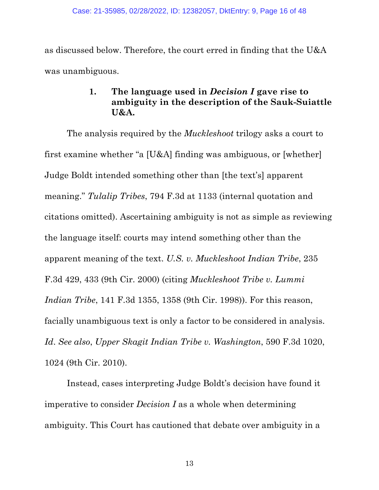<span id="page-15-0"></span>as discussed below. Therefore, the court erred in finding that the U&A was unambiguous.

# **1. The language used in** *Decision I* **gave rise to ambiguity in the description of the Sauk-Suiattle U&A.**

The analysis required by the *Muckleshoot* trilogy asks a court to first examine whether "a [U&A] finding was ambiguous, or [whether] Judge Boldt intended something other than [the text's] apparent meaning." *Tulalip Tribes*, 794 F.3d at 1133 (internal quotation and citations omitted). Ascertaining ambiguity is not as simple as reviewing the language itself: courts may intend something other than the apparent meaning of the text. *U.S. v. Muckleshoot Indian Tribe*, 235 F.3d 429, 433 (9th Cir. 2000) (citing *Muckleshoot Tribe v. Lummi Indian Tribe*, 141 F.3d 1355, 1358 (9th Cir. 1998)). For this reason, facially unambiguous text is only a factor to be considered in analysis. *Id*. *See also*, *Upper Skagit Indian Tribe v. Washington*, 590 F.3d 1020, 1024 (9th Cir. 2010).

Instead, cases interpreting Judge Boldt's decision have found it imperative to consider *Decision I* as a whole when determining ambiguity. This Court has cautioned that debate over ambiguity in a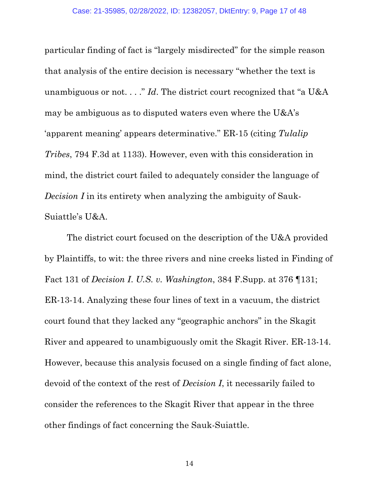particular finding of fact is "largely misdirected" for the simple reason that analysis of the entire decision is necessary "whether the text is unambiguous or not. . . ." *Id*. The district court recognized that "a U&A may be ambiguous as to disputed waters even where the U&A's 'apparent meaning' appears determinative." ER-15 (citing *Tulalip Tribes*, 794 F.3d at 1133). However, even with this consideration in mind, the district court failed to adequately consider the language of *Decision I* in its entirety when analyzing the ambiguity of Sauk-Suiattle's U&A.

The district court focused on the description of the U&A provided by Plaintiffs, to wit: the three rivers and nine creeks listed in Finding of Fact 131 of *Decision I*. *U.S. v. Washington*, 384 F.Supp. at 376 ¶131; ER-13-14. Analyzing these four lines of text in a vacuum, the district court found that they lacked any "geographic anchors" in the Skagit River and appeared to unambiguously omit the Skagit River. ER-13-14. However, because this analysis focused on a single finding of fact alone, devoid of the context of the rest of *Decision I*, it necessarily failed to consider the references to the Skagit River that appear in the three other findings of fact concerning the Sauk-Suiattle.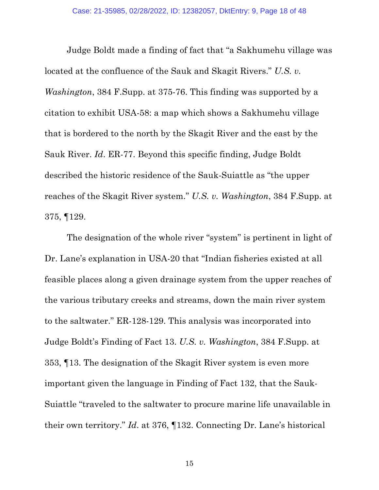Judge Boldt made a finding of fact that "a Sakhumehu village was located at the confluence of the Sauk and Skagit Rivers." *U.S. v. Washington*, 384 F.Supp. at 375-76. This finding was supported by a citation to exhibit USA-58: a map which shows a Sakhumehu village that is bordered to the north by the Skagit River and the east by the Sauk River. *Id*. ER-77. Beyond this specific finding, Judge Boldt described the historic residence of the Sauk-Suiattle as "the upper reaches of the Skagit River system." *U.S. v. Washington*, 384 F.Supp. at 375, ¶129.

The designation of the whole river "system" is pertinent in light of Dr. Lane's explanation in USA-20 that "Indian fisheries existed at all feasible places along a given drainage system from the upper reaches of the various tributary creeks and streams, down the main river system to the saltwater." ER-128-129. This analysis was incorporated into Judge Boldt's Finding of Fact 13. *U.S. v. Washington*, 384 F.Supp. at 353, ¶13. The designation of the Skagit River system is even more important given the language in Finding of Fact 132, that the Sauk-Suiattle "traveled to the saltwater to procure marine life unavailable in their own territory." *Id*. at 376, ¶132. Connecting Dr. Lane's historical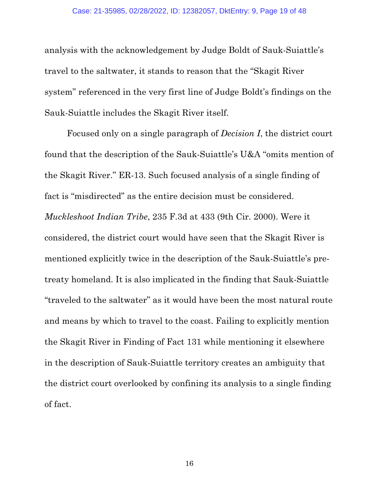analysis with the acknowledgement by Judge Boldt of Sauk-Suiattle's travel to the saltwater, it stands to reason that the "Skagit River system" referenced in the very first line of Judge Boldt's findings on the Sauk-Suiattle includes the Skagit River itself.

Focused only on a single paragraph of *Decision I*, the district court found that the description of the Sauk-Suiattle's U&A "omits mention of the Skagit River." ER-13. Such focused analysis of a single finding of fact is "misdirected" as the entire decision must be considered. *Muckleshoot Indian Tribe*, 235 F.3d at 433 (9th Cir. 2000). Were it considered, the district court would have seen that the Skagit River is mentioned explicitly twice in the description of the Sauk-Suiattle's pretreaty homeland. It is also implicated in the finding that Sauk-Suiattle "traveled to the saltwater" as it would have been the most natural route and means by which to travel to the coast. Failing to explicitly mention the Skagit River in Finding of Fact 131 while mentioning it elsewhere in the description of Sauk-Suiattle territory creates an ambiguity that the district court overlooked by confining its analysis to a single finding of fact.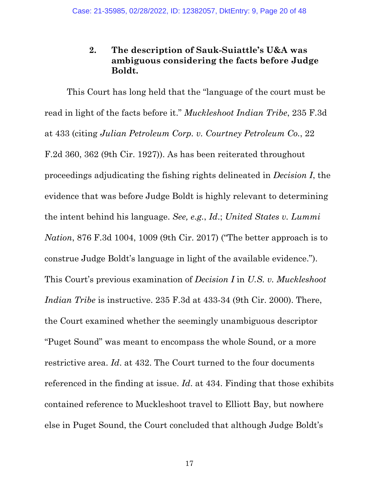## **2. The description of Sauk-Suiattle's U&A was ambiguous considering the facts before Judge Boldt.**

<span id="page-19-0"></span>This Court has long held that the "language of the court must be read in light of the facts before it." *Muckleshoot Indian Tribe*, 235 F.3d at 433 (citing *Julian Petroleum Corp. v. Courtney Petroleum Co.*, 22 F.2d 360, 362 (9th Cir. 1927)). As has been reiterated throughout proceedings adjudicating the fishing rights delineated in *Decision I*, the evidence that was before Judge Boldt is highly relevant to determining the intent behind his language. *See, e.g.*, *Id*.; *United States v. Lummi Nation*, 876 F.3d 1004, 1009 (9th Cir. 2017) ("The better approach is to construe Judge Boldt's language in light of the available evidence."). This Court's previous examination of *Decision I* in *U.S. v. Muckleshoot Indian Tribe* is instructive. 235 F.3d at 433-34 (9th Cir. 2000). There, the Court examined whether the seemingly unambiguous descriptor "Puget Sound" was meant to encompass the whole Sound, or a more restrictive area. *Id*. at 432. The Court turned to the four documents referenced in the finding at issue. *Id*. at 434. Finding that those exhibits contained reference to Muckleshoot travel to Elliott Bay, but nowhere else in Puget Sound, the Court concluded that although Judge Boldt's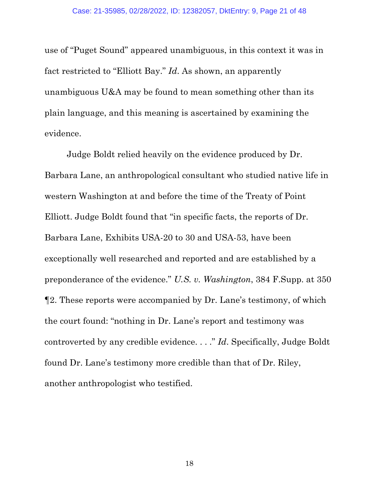use of "Puget Sound" appeared unambiguous, in this context it was in fact restricted to "Elliott Bay." *Id*. As shown, an apparently unambiguous U&A may be found to mean something other than its plain language, and this meaning is ascertained by examining the evidence.

Judge Boldt relied heavily on the evidence produced by Dr. Barbara Lane, an anthropological consultant who studied native life in western Washington at and before the time of the Treaty of Point Elliott. Judge Boldt found that "in specific facts, the reports of Dr. Barbara Lane, Exhibits USA-20 to 30 and USA-53, have been exceptionally well researched and reported and are established by a preponderance of the evidence." *U.S. v. Washington*, 384 F.Supp. at 350 ¶2. These reports were accompanied by Dr. Lane's testimony, of which the court found: "nothing in Dr. Lane's report and testimony was controverted by any credible evidence. . . ." *Id*. Specifically, Judge Boldt found Dr. Lane's testimony more credible than that of Dr. Riley, another anthropologist who testified.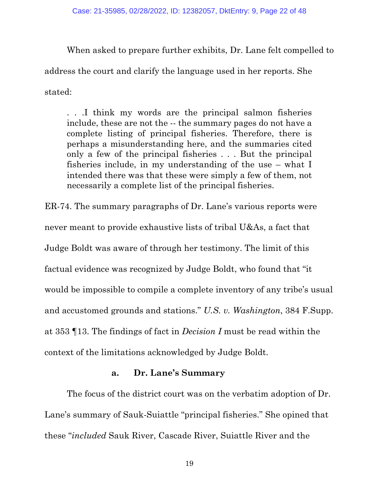When asked to prepare further exhibits, Dr. Lane felt compelled to address the court and clarify the language used in her reports. She stated:

. . .I think my words are the principal salmon fisheries include, these are not the -- the summary pages do not have a complete listing of principal fisheries. Therefore, there is perhaps a misunderstanding here, and the summaries cited only a few of the principal fisheries . . . But the principal fisheries include, in my understanding of the use – what I intended there was that these were simply a few of them, not necessarily a complete list of the principal fisheries.

ER-74. The summary paragraphs of Dr. Lane's various reports were never meant to provide exhaustive lists of tribal U&As, a fact that Judge Boldt was aware of through her testimony. The limit of this factual evidence was recognized by Judge Boldt, who found that "it would be impossible to compile a complete inventory of any tribe's usual and accustomed grounds and stations." *U.S. v. Washington*, 384 F.Supp. at 353 ¶13. The findings of fact in *Decision I* must be read within the context of the limitations acknowledged by Judge Boldt.

### **a. Dr. Lane's Summary**

The focus of the district court was on the verbatim adoption of Dr. Lane's summary of Sauk-Suiattle "principal fisheries." She opined that these "*included* Sauk River, Cascade River, Suiattle River and the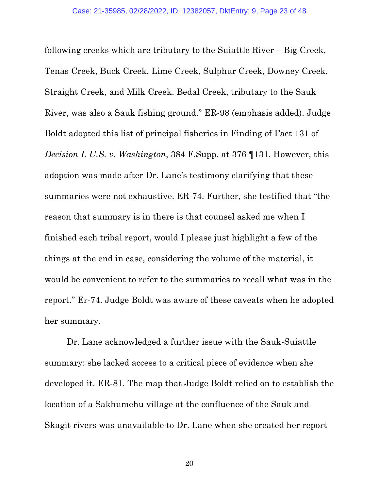following creeks which are tributary to the Suiattle River – Big Creek, Tenas Creek, Buck Creek, Lime Creek, Sulphur Creek, Downey Creek, Straight Creek, and Milk Creek. Bedal Creek, tributary to the Sauk River, was also a Sauk fishing ground." ER-98 (emphasis added). Judge Boldt adopted this list of principal fisheries in Finding of Fact 131 of *Decision I*. *U.S. v. Washington*, 384 F.Supp. at 376 ¶131. However, this adoption was made after Dr. Lane's testimony clarifying that these summaries were not exhaustive. ER-74. Further, she testified that "the reason that summary is in there is that counsel asked me when I finished each tribal report, would I please just highlight a few of the things at the end in case, considering the volume of the material, it would be convenient to refer to the summaries to recall what was in the report." Er-74. Judge Boldt was aware of these caveats when he adopted her summary.

Dr. Lane acknowledged a further issue with the Sauk-Suiattle summary: she lacked access to a critical piece of evidence when she developed it. ER-81. The map that Judge Boldt relied on to establish the location of a Sakhumehu village at the confluence of the Sauk and Skagit rivers was unavailable to Dr. Lane when she created her report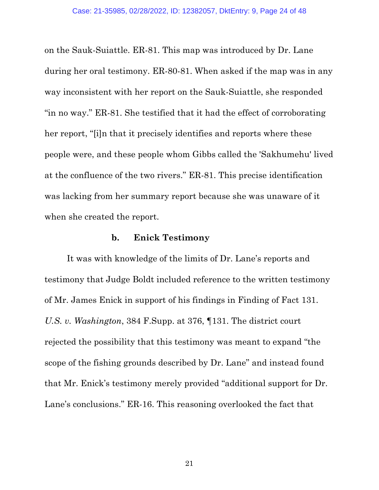on the Sauk-Suiattle. ER-81. This map was introduced by Dr. Lane during her oral testimony. ER-80-81. When asked if the map was in any way inconsistent with her report on the Sauk-Suiattle, she responded "in no way." ER-81. She testified that it had the effect of corroborating her report, "[i]n that it precisely identifies and reports where these people were, and these people whom Gibbs called the 'Sakhumehu' lived at the confluence of the two rivers." ER-81. This precise identification was lacking from her summary report because she was unaware of it when she created the report.

### **b. Enick Testimony**

It was with knowledge of the limits of Dr. Lane's reports and testimony that Judge Boldt included reference to the written testimony of Mr. James Enick in support of his findings in Finding of Fact 131. *U.S. v. Washington*, 384 F.Supp. at 376, ¶131. The district court rejected the possibility that this testimony was meant to expand "the scope of the fishing grounds described by Dr. Lane" and instead found that Mr. Enick's testimony merely provided "additional support for Dr. Lane's conclusions." ER-16. This reasoning overlooked the fact that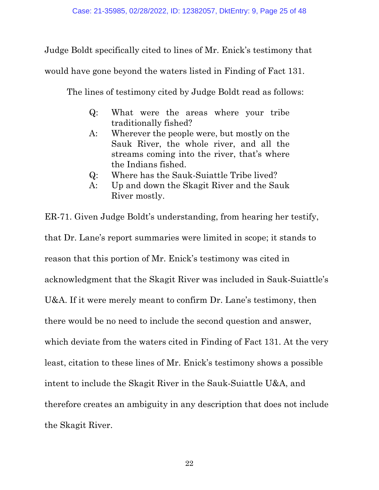Judge Boldt specifically cited to lines of Mr. Enick's testimony that

would have gone beyond the waters listed in Finding of Fact 131.

The lines of testimony cited by Judge Boldt read as follows:

- Q: What were the areas where your tribe traditionally fished?
- A: Wherever the people were, but mostly on the Sauk River, the whole river, and all the streams coming into the river, that's where the Indians fished.
- Q: Where has the Sauk-Suiattle Tribe lived?
- A: Up and down the Skagit River and the Sauk River mostly.

ER-71. Given Judge Boldt's understanding, from hearing her testify, that Dr. Lane's report summaries were limited in scope; it stands to reason that this portion of Mr. Enick's testimony was cited in acknowledgment that the Skagit River was included in Sauk-Suiattle's U&A. If it were merely meant to confirm Dr. Lane's testimony, then there would be no need to include the second question and answer, which deviate from the waters cited in Finding of Fact 131. At the very least, citation to these lines of Mr. Enick's testimony shows a possible intent to include the Skagit River in the Sauk-Suiattle U&A, and therefore creates an ambiguity in any description that does not include the Skagit River.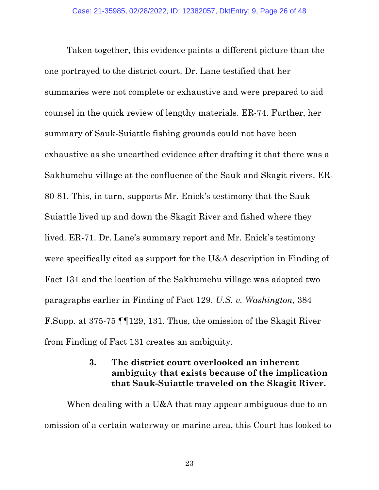<span id="page-25-0"></span>Taken together, this evidence paints a different picture than the one portrayed to the district court. Dr. Lane testified that her summaries were not complete or exhaustive and were prepared to aid counsel in the quick review of lengthy materials. ER-74. Further, her summary of Sauk-Suiattle fishing grounds could not have been exhaustive as she unearthed evidence after drafting it that there was a Sakhumehu village at the confluence of the Sauk and Skagit rivers. ER-80-81. This, in turn, supports Mr. Enick's testimony that the Sauk-Suiattle lived up and down the Skagit River and fished where they lived. ER-71. Dr. Lane's summary report and Mr. Enick's testimony were specifically cited as support for the U&A description in Finding of Fact 131 and the location of the Sakhumehu village was adopted two paragraphs earlier in Finding of Fact 129. *U.S. v. Washington*, 384 F.Supp. at 375-75 ¶¶129, 131. Thus, the omission of the Skagit River from Finding of Fact 131 creates an ambiguity.

### **3. The district court overlooked an inherent ambiguity that exists because of the implication that Sauk-Suiattle traveled on the Skagit River.**

When dealing with a U&A that may appear ambiguous due to an omission of a certain waterway or marine area, this Court has looked to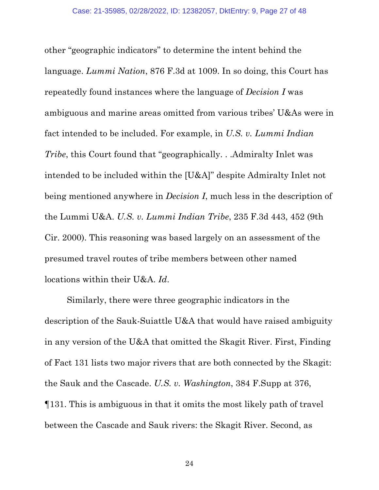other "geographic indicators" to determine the intent behind the language. *Lummi Nation*, 876 F.3d at 1009. In so doing, this Court has repeatedly found instances where the language of *Decision I* was ambiguous and marine areas omitted from various tribes' U&As were in fact intended to be included. For example, in *U.S. v. Lummi Indian Tribe*, this Court found that "geographically. . .Admiralty Inlet was intended to be included within the [U&A]" despite Admiralty Inlet not being mentioned anywhere in *Decision I*, much less in the description of the Lummi U&A. *U.S. v. Lummi Indian Tribe*, 235 F.3d 443, 452 (9th Cir. 2000). This reasoning was based largely on an assessment of the presumed travel routes of tribe members between other named locations within their U&A. *Id*.

Similarly, there were three geographic indicators in the description of the Sauk-Suiattle U&A that would have raised ambiguity in any version of the U&A that omitted the Skagit River. First, Finding of Fact 131 lists two major rivers that are both connected by the Skagit: the Sauk and the Cascade. *U.S. v. Washington*, 384 F.Supp at 376, ¶131. This is ambiguous in that it omits the most likely path of travel between the Cascade and Sauk rivers: the Skagit River. Second, as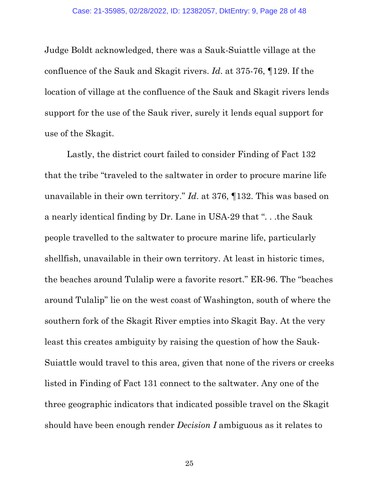Judge Boldt acknowledged, there was a Sauk-Suiattle village at the confluence of the Sauk and Skagit rivers. *Id*. at 375-76, ¶129. If the location of village at the confluence of the Sauk and Skagit rivers lends support for the use of the Sauk river, surely it lends equal support for use of the Skagit.

Lastly, the district court failed to consider Finding of Fact 132 that the tribe "traveled to the saltwater in order to procure marine life unavailable in their own territory." *Id*. at 376, ¶132. This was based on a nearly identical finding by Dr. Lane in USA-29 that ". . .the Sauk people travelled to the saltwater to procure marine life, particularly shellfish, unavailable in their own territory. At least in historic times, the beaches around Tulalip were a favorite resort." ER-96. The "beaches around Tulalip" lie on the west coast of Washington, south of where the southern fork of the Skagit River empties into Skagit Bay. At the very least this creates ambiguity by raising the question of how the Sauk-Suiattle would travel to this area, given that none of the rivers or creeks listed in Finding of Fact 131 connect to the saltwater. Any one of the three geographic indicators that indicated possible travel on the Skagit should have been enough render *Decision I* ambiguous as it relates to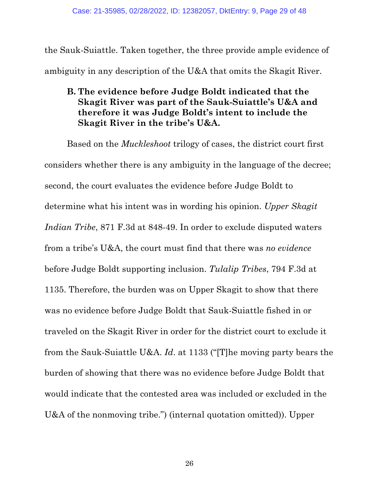<span id="page-28-0"></span>the Sauk-Suiattle. Taken together, the three provide ample evidence of ambiguity in any description of the U&A that omits the Skagit River.

# **B. The evidence before Judge Boldt indicated that the Skagit River was part of the Sauk-Suiattle's U&A and therefore it was Judge Boldt's intent to include the Skagit River in the tribe's U&A.**

Based on the *Muckleshoot* trilogy of cases, the district court first considers whether there is any ambiguity in the language of the decree; second, the court evaluates the evidence before Judge Boldt to determine what his intent was in wording his opinion. *Upper Skagit Indian Tribe*, 871 F.3d at 848-49. In order to exclude disputed waters from a tribe's U&A, the court must find that there was *no evidence*  before Judge Boldt supporting inclusion. *Tulalip Tribes*, 794 F.3d at 1135. Therefore, the burden was on Upper Skagit to show that there was no evidence before Judge Boldt that Sauk-Suiattle fished in or traveled on the Skagit River in order for the district court to exclude it from the Sauk-Suiattle U&A. *Id*. at 1133 ("[T]he moving party bears the burden of showing that there was no evidence before Judge Boldt that would indicate that the contested area was included or excluded in the U&A of the nonmoving tribe.") (internal quotation omitted)). Upper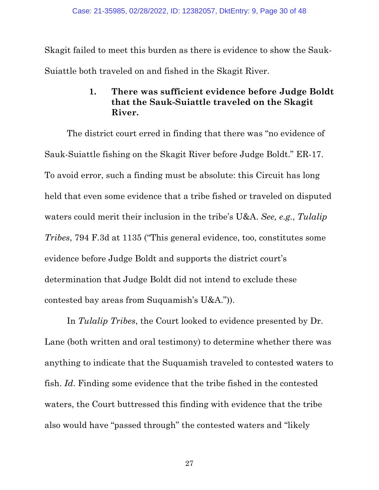<span id="page-29-0"></span>Skagit failed to meet this burden as there is evidence to show the Sauk-Suiattle both traveled on and fished in the Skagit River.

# **1. There was sufficient evidence before Judge Boldt that the Sauk-Suiattle traveled on the Skagit River.**

The district court erred in finding that there was "no evidence of Sauk-Suiattle fishing on the Skagit River before Judge Boldt." ER-17. To avoid error, such a finding must be absolute: this Circuit has long held that even some evidence that a tribe fished or traveled on disputed waters could merit their inclusion in the tribe's U&A. *See, e.g.*, *Tulalip Tribes*, 794 F.3d at 1135 ("This general evidence, too, constitutes some evidence before Judge Boldt and supports the district court's determination that Judge Boldt did not intend to exclude these contested bay areas from Suquamish's U&A.")).

In *Tulalip Tribes*, the Court looked to evidence presented by Dr. Lane (both written and oral testimony) to determine whether there was anything to indicate that the Suquamish traveled to contested waters to fish. *Id*. Finding some evidence that the tribe fished in the contested waters, the Court buttressed this finding with evidence that the tribe also would have "passed through" the contested waters and "likely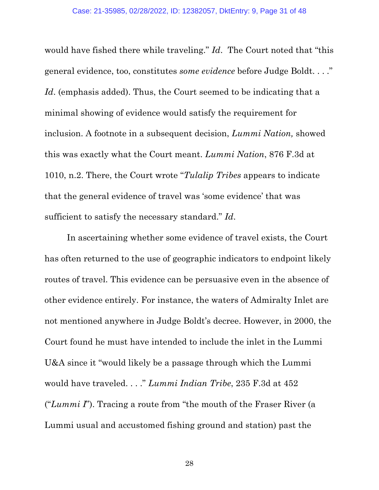would have fished there while traveling." *Id*. The Court noted that "this general evidence, too, constitutes *some evidence* before Judge Boldt. . . ." Id. (emphasis added). Thus, the Court seemed to be indicating that a minimal showing of evidence would satisfy the requirement for inclusion. A footnote in a subsequent decision, *Lummi Nation,* showed this was exactly what the Court meant. *Lummi Nation*, 876 F.3d at 1010, n.2. There, the Court wrote "*Tulalip Tribes* appears to indicate that the general evidence of travel was 'some evidence' that was sufficient to satisfy the necessary standard." *Id*.

In ascertaining whether some evidence of travel exists, the Court has often returned to the use of geographic indicators to endpoint likely routes of travel. This evidence can be persuasive even in the absence of other evidence entirely. For instance, the waters of Admiralty Inlet are not mentioned anywhere in Judge Boldt's decree. However, in 2000, the Court found he must have intended to include the inlet in the Lummi U&A since it "would likely be a passage through which the Lummi would have traveled. . . ." *Lummi Indian Tribe*, 235 F.3d at 452 ("*Lummi I*"). Tracing a route from "the mouth of the Fraser River (a Lummi usual and accustomed fishing ground and station) past the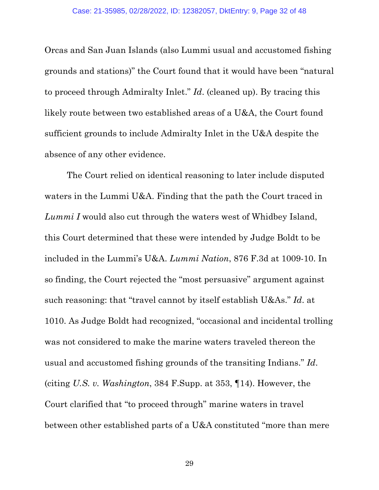Orcas and San Juan Islands (also Lummi usual and accustomed fishing grounds and stations)" the Court found that it would have been "natural to proceed through Admiralty Inlet." *Id*. (cleaned up). By tracing this likely route between two established areas of a U&A, the Court found sufficient grounds to include Admiralty Inlet in the U&A despite the absence of any other evidence.

The Court relied on identical reasoning to later include disputed waters in the Lummi U&A. Finding that the path the Court traced in *Lummi I* would also cut through the waters west of Whidbey Island, this Court determined that these were intended by Judge Boldt to be included in the Lummi's U&A. *Lummi Nation*, 876 F.3d at 1009-10. In so finding, the Court rejected the "most persuasive" argument against such reasoning: that "travel cannot by itself establish U&As." *Id*. at 1010. As Judge Boldt had recognized, "occasional and incidental trolling was not considered to make the marine waters traveled thereon the usual and accustomed fishing grounds of the transiting Indians." *Id*. (citing *U.S. v. Washington*, 384 F.Supp. at 353, ¶14). However, the Court clarified that "to proceed through" marine waters in travel between other established parts of a U&A constituted "more than mere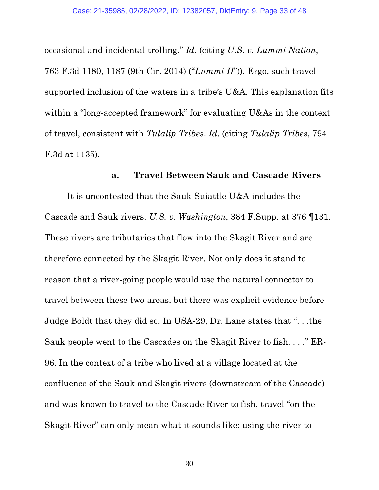occasional and incidental trolling." *Id*. (citing *U.S. v. Lummi Nation*, 763 F.3d 1180, 1187 (9th Cir. 2014) ("*Lummi II*")). Ergo, such travel supported inclusion of the waters in a tribe's U&A. This explanation fits within a "long-accepted framework" for evaluating U&As in the context of travel, consistent with *Tulalip Tribes*. *Id*. (citing *Tulalip Tribes*, 794 F.3d at 1135).

#### **a. Travel Between Sauk and Cascade Rivers**

It is uncontested that the Sauk-Suiattle U&A includes the Cascade and Sauk rivers. *U.S. v. Washington*, 384 F.Supp. at 376 ¶131. These rivers are tributaries that flow into the Skagit River and are therefore connected by the Skagit River. Not only does it stand to reason that a river-going people would use the natural connector to travel between these two areas, but there was explicit evidence before Judge Boldt that they did so. In USA-29, Dr. Lane states that ". . .the Sauk people went to the Cascades on the Skagit River to fish. . . ." ER-96. In the context of a tribe who lived at a village located at the confluence of the Sauk and Skagit rivers (downstream of the Cascade) and was known to travel to the Cascade River to fish, travel "on the Skagit River" can only mean what it sounds like: using the river to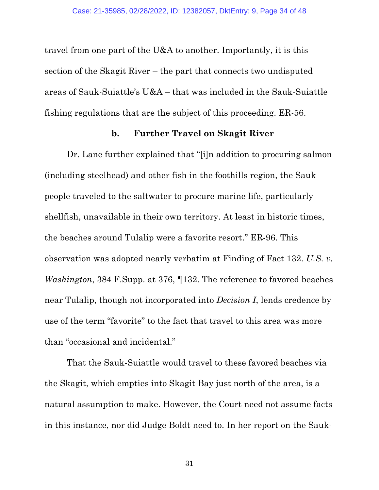travel from one part of the U&A to another. Importantly, it is this section of the Skagit River – the part that connects two undisputed areas of Sauk-Suiattle's U&A – that was included in the Sauk-Suiattle fishing regulations that are the subject of this proceeding. ER-56.

### **b. Further Travel on Skagit River**

Dr. Lane further explained that "[i]n addition to procuring salmon (including steelhead) and other fish in the foothills region, the Sauk people traveled to the saltwater to procure marine life, particularly shellfish, unavailable in their own territory. At least in historic times, the beaches around Tulalip were a favorite resort." ER-96. This observation was adopted nearly verbatim at Finding of Fact 132. *U.S. v. Washington*, 384 F.Supp. at 376, ¶132. The reference to favored beaches near Tulalip, though not incorporated into *Decision I*, lends credence by use of the term "favorite" to the fact that travel to this area was more than "occasional and incidental."

That the Sauk-Suiattle would travel to these favored beaches via the Skagit, which empties into Skagit Bay just north of the area, is a natural assumption to make. However, the Court need not assume facts in this instance, nor did Judge Boldt need to. In her report on the Sauk-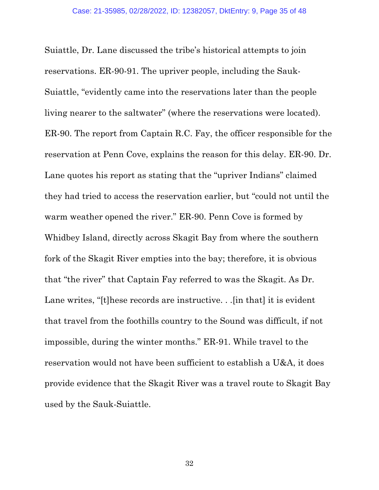Suiattle, Dr. Lane discussed the tribe's historical attempts to join reservations. ER-90-91. The upriver people, including the Sauk-Suiattle, "evidently came into the reservations later than the people living nearer to the saltwater" (where the reservations were located). ER-90. The report from Captain R.C. Fay, the officer responsible for the reservation at Penn Cove, explains the reason for this delay. ER-90. Dr. Lane quotes his report as stating that the "upriver Indians" claimed they had tried to access the reservation earlier, but "could not until the warm weather opened the river." ER-90. Penn Cove is formed by Whidbey Island, directly across Skagit Bay from where the southern fork of the Skagit River empties into the bay; therefore, it is obvious that "the river" that Captain Fay referred to was the Skagit. As Dr. Lane writes, "[t]hese records are instructive. . .[in that] it is evident that travel from the foothills country to the Sound was difficult, if not impossible, during the winter months." ER-91. While travel to the reservation would not have been sufficient to establish a U&A, it does provide evidence that the Skagit River was a travel route to Skagit Bay used by the Sauk-Suiattle.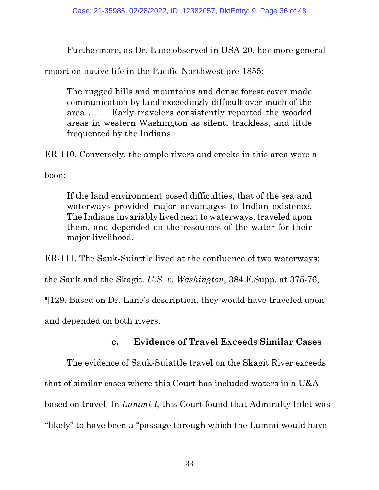Furthermore, as Dr. Lane observed in USA-20, her more general

report on native life in the Pacific Northwest pre-1855:

The rugged hills and mountains and dense forest cover made communication by land exceedingly difficult over much of the area . . . . Early travelers consistently reported the wooded areas in western Washington as silent, trackless, and little frequented by the Indians.

ER-110. Conversely, the ample rivers and creeks in this area were a

boon:

If the land environment posed difficulties, that of the sea and waterways provided major advantages to Indian existence. The Indians invariably lived next to waterways, traveled upon them, and depended on the resources of the water for their major livelihood.

ER-111. The Sauk-Suiattle lived at the confluence of two waterways: the Sauk and the Skagit. *U.S. v. Washington*, 384 F.Supp. at 375-76,

¶129. Based on Dr. Lane's description, they would have traveled upon

and depended on both rivers.

# **c. Evidence of Travel Exceeds Similar Cases**

The evidence of Sauk-Suiattle travel on the Skagit River exceeds that of similar cases where this Court has included waters in a U&A based on travel. In *Lummi I*, this Court found that Admiralty Inlet was "likely" to have been a "passage through which the Lummi would have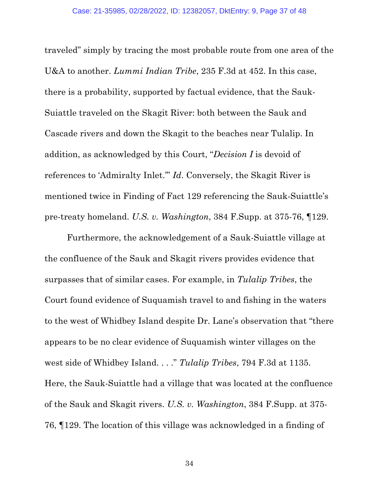traveled" simply by tracing the most probable route from one area of the U&A to another. *Lummi Indian Tribe*, 235 F.3d at 452. In this case, there is a probability, supported by factual evidence, that the Sauk-Suiattle traveled on the Skagit River: both between the Sauk and Cascade rivers and down the Skagit to the beaches near Tulalip. In addition, as acknowledged by this Court, "*Decision I* is devoid of references to 'Admiralty Inlet.'" *Id*. Conversely, the Skagit River is mentioned twice in Finding of Fact 129 referencing the Sauk-Suiattle's pre-treaty homeland. *U.S. v. Washington*, 384 F.Supp. at 375-76, ¶129.

Furthermore, the acknowledgement of a Sauk-Suiattle village at the confluence of the Sauk and Skagit rivers provides evidence that surpasses that of similar cases. For example, in *Tulalip Tribes*, the Court found evidence of Suquamish travel to and fishing in the waters to the west of Whidbey Island despite Dr. Lane's observation that "there appears to be no clear evidence of Suquamish winter villages on the west side of Whidbey Island. . . ." *Tulalip Tribes*, 794 F.3d at 1135. Here, the Sauk-Suiattle had a village that was located at the confluence of the Sauk and Skagit rivers. *U.S. v. Washington*, 384 F.Supp. at 375- 76, ¶129. The location of this village was acknowledged in a finding of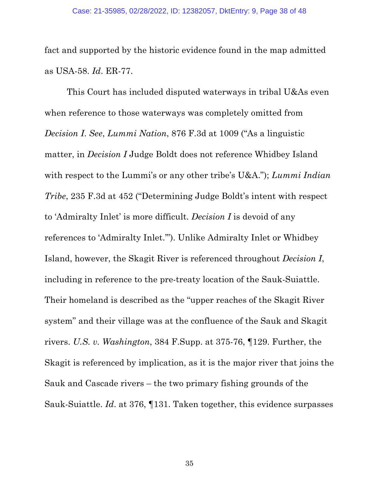fact and supported by the historic evidence found in the map admitted as USA-58. *Id*. ER-77.

This Court has included disputed waterways in tribal U&As even when reference to those waterways was completely omitted from *Decision I*. *See*, *Lummi Nation*, 876 F.3d at 1009 ("As a linguistic matter, in *Decision I* Judge Boldt does not reference Whidbey Island with respect to the Lummi's or any other tribe's U&A."); *Lummi Indian Tribe*, 235 F.3d at 452 ("Determining Judge Boldt's intent with respect to 'Admiralty Inlet' is more difficult. *Decision I* is devoid of any references to 'Admiralty Inlet.'"). Unlike Admiralty Inlet or Whidbey Island, however, the Skagit River is referenced throughout *Decision I*, including in reference to the pre-treaty location of the Sauk-Suiattle. Their homeland is described as the "upper reaches of the Skagit River system" and their village was at the confluence of the Sauk and Skagit rivers. *U.S. v. Washington*, 384 F.Supp. at 375-76, ¶129. Further, the Skagit is referenced by implication, as it is the major river that joins the Sauk and Cascade rivers – the two primary fishing grounds of the Sauk-Suiattle. *Id*. at 376, ¶131. Taken together, this evidence surpasses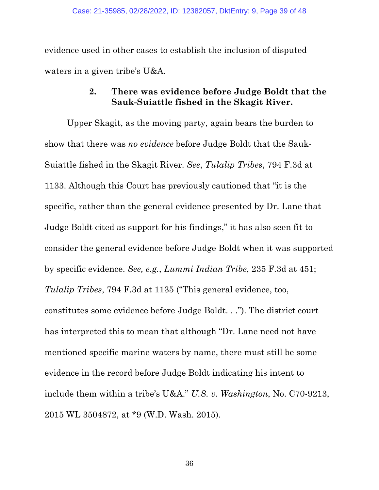<span id="page-38-0"></span>evidence used in other cases to establish the inclusion of disputed waters in a given tribe's U&A.

## **2. There was evidence before Judge Boldt that the Sauk-Suiattle fished in the Skagit River.**

Upper Skagit, as the moving party, again bears the burden to show that there was *no evidence* before Judge Boldt that the Sauk-Suiattle fished in the Skagit River. *See*, *Tulalip Tribes*, 794 F.3d at 1133. Although this Court has previously cautioned that "it is the specific, rather than the general evidence presented by Dr. Lane that Judge Boldt cited as support for his findings," it has also seen fit to consider the general evidence before Judge Boldt when it was supported by specific evidence. *See, e.g.*, *Lummi Indian Tribe*, 235 F.3d at 451; *Tulalip Tribes*, 794 F.3d at 1135 ("This general evidence, too, constitutes some evidence before Judge Boldt. . ."). The district court has interpreted this to mean that although "Dr. Lane need not have mentioned specific marine waters by name, there must still be some evidence in the record before Judge Boldt indicating his intent to include them within a tribe's U&A." *U.S. v. Washington*, No. C70-9213, 2015 WL 3504872, at \*9 (W.D. Wash. 2015).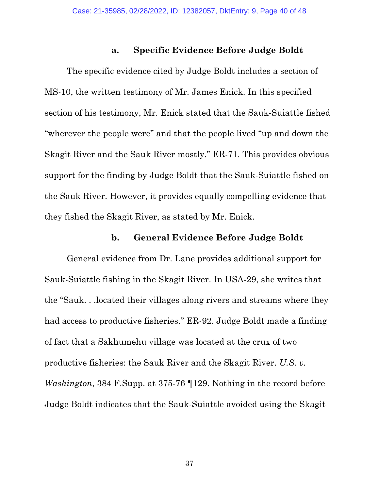### **a. Specific Evidence Before Judge Boldt**

The specific evidence cited by Judge Boldt includes a section of MS-10, the written testimony of Mr. James Enick. In this specified section of his testimony, Mr. Enick stated that the Sauk-Suiattle fished "wherever the people were" and that the people lived "up and down the Skagit River and the Sauk River mostly." ER-71. This provides obvious support for the finding by Judge Boldt that the Sauk-Suiattle fished on the Sauk River. However, it provides equally compelling evidence that they fished the Skagit River, as stated by Mr. Enick.

#### **b. General Evidence Before Judge Boldt**

General evidence from Dr. Lane provides additional support for Sauk-Suiattle fishing in the Skagit River. In USA-29, she writes that the "Sauk. . .located their villages along rivers and streams where they had access to productive fisheries." ER-92. Judge Boldt made a finding of fact that a Sakhumehu village was located at the crux of two productive fisheries: the Sauk River and the Skagit River. *U.S. v. Washington*, 384 F.Supp. at 375-76 ¶129. Nothing in the record before Judge Boldt indicates that the Sauk-Suiattle avoided using the Skagit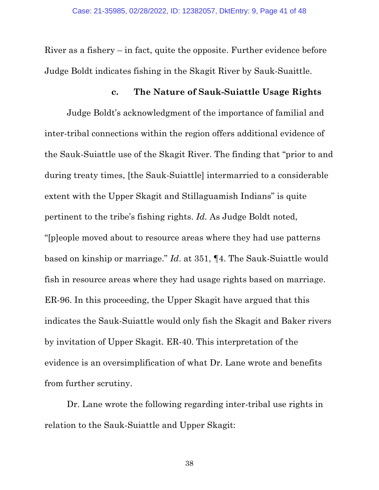River as a fishery – in fact, quite the opposite. Further evidence before Judge Boldt indicates fishing in the Skagit River by Sauk-Suaittle.

#### **c. The Nature of Sauk-Suiattle Usage Rights**

Judge Boldt's acknowledgment of the importance of familial and inter-tribal connections within the region offers additional evidence of the Sauk-Suiattle use of the Skagit River. The finding that "prior to and during treaty times, [the Sauk-Suiattle] intermarried to a considerable extent with the Upper Skagit and Stillaguamish Indians" is quite pertinent to the tribe's fishing rights. *Id.* As Judge Boldt noted, "[p]eople moved about to resource areas where they had use patterns based on kinship or marriage." *Id*. at 351, ¶4. The Sauk-Suiattle would fish in resource areas where they had usage rights based on marriage. ER-96. In this proceeding, the Upper Skagit have argued that this indicates the Sauk-Suiattle would only fish the Skagit and Baker rivers by invitation of Upper Skagit. ER-40. This interpretation of the evidence is an oversimplification of what Dr. Lane wrote and benefits from further scrutiny.

Dr. Lane wrote the following regarding inter-tribal use rights in relation to the Sauk-Suiattle and Upper Skagit: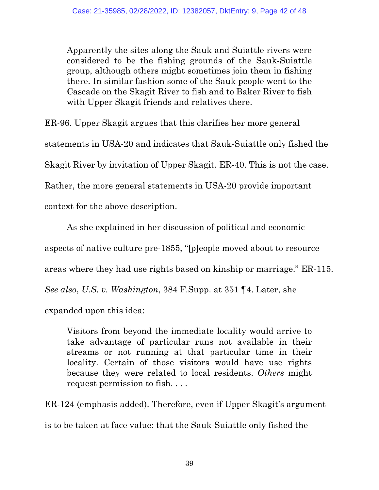Apparently the sites along the Sauk and Suiattle rivers were considered to be the fishing grounds of the Sauk-Suiattle group, although others might sometimes join them in fishing there. In similar fashion some of the Sauk people went to the Cascade on the Skagit River to fish and to Baker River to fish with Upper Skagit friends and relatives there.

ER-96. Upper Skagit argues that this clarifies her more general statements in USA-20 and indicates that Sauk-Suiattle only fished the Skagit River by invitation of Upper Skagit. ER-40. This is not the case. Rather, the more general statements in USA-20 provide important context for the above description.

As she explained in her discussion of political and economic aspects of native culture pre-1855, "[p]eople moved about to resource areas where they had use rights based on kinship or marriage." ER-115. *See also*, *U.S. v. Washington*, 384 F.Supp. at 351 ¶4. Later, she expanded upon this idea:

Visitors from beyond the immediate locality would arrive to take advantage of particular runs not available in their streams or not running at that particular time in their locality. Certain of those visitors would have use rights because they were related to local residents. *Others* might request permission to fish. . . .

ER-124 (emphasis added). Therefore, even if Upper Skagit's argument is to be taken at face value: that the Sauk-Suiattle only fished the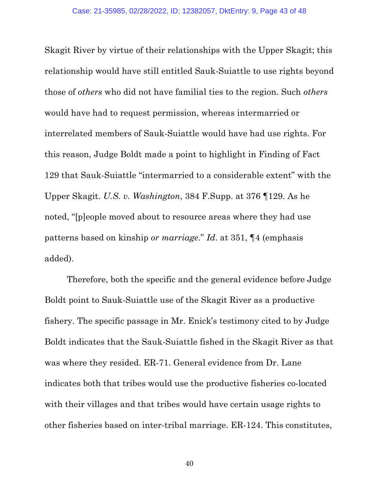Skagit River by virtue of their relationships with the Upper Skagit; this relationship would have still entitled Sauk-Suiattle to use rights beyond those of *others* who did not have familial ties to the region. Such *others* would have had to request permission, whereas intermarried or interrelated members of Sauk-Suiattle would have had use rights. For this reason, Judge Boldt made a point to highlight in Finding of Fact 129 that Sauk-Suiattle "intermarried to a considerable extent" with the Upper Skagit. *U.S. v. Washington*, 384 F.Supp. at 376 ¶129. As he noted, "[p]eople moved about to resource areas where they had use patterns based on kinship *or marriage*." *Id*. at 351, ¶4 (emphasis added).

Therefore, both the specific and the general evidence before Judge Boldt point to Sauk-Suiattle use of the Skagit River as a productive fishery. The specific passage in Mr. Enick's testimony cited to by Judge Boldt indicates that the Sauk-Suiattle fished in the Skagit River as that was where they resided. ER-71. General evidence from Dr. Lane indicates both that tribes would use the productive fisheries co-located with their villages and that tribes would have certain usage rights to other fisheries based on inter-tribal marriage. ER-124. This constitutes,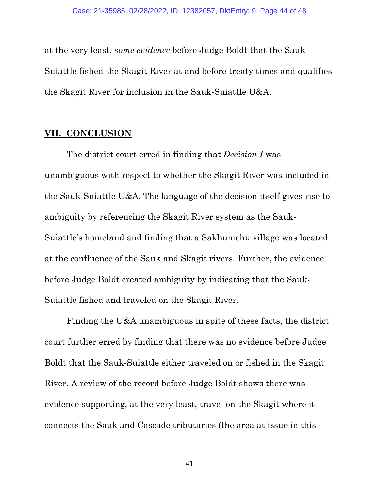<span id="page-43-0"></span>at the very least, *some evidence* before Judge Boldt that the Sauk-Suiattle fished the Skagit River at and before treaty times and qualifies the Skagit River for inclusion in the Sauk-Suiattle U&A.

### **VII. CONCLUSION**

The district court erred in finding that *Decision I* was unambiguous with respect to whether the Skagit River was included in the Sauk-Suiattle U&A. The language of the decision itself gives rise to ambiguity by referencing the Skagit River system as the Sauk-Suiattle's homeland and finding that a Sakhumehu village was located at the confluence of the Sauk and Skagit rivers. Further, the evidence before Judge Boldt created ambiguity by indicating that the Sauk-Suiattle fished and traveled on the Skagit River.

Finding the U&A unambiguous in spite of these facts, the district court further erred by finding that there was no evidence before Judge Boldt that the Sauk-Suiattle either traveled on or fished in the Skagit River. A review of the record before Judge Boldt shows there was evidence supporting, at the very least, travel on the Skagit where it connects the Sauk and Cascade tributaries (the area at issue in this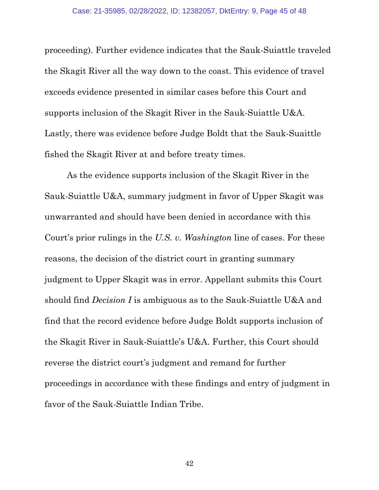proceeding). Further evidence indicates that the Sauk-Suiattle traveled the Skagit River all the way down to the coast. This evidence of travel exceeds evidence presented in similar cases before this Court and supports inclusion of the Skagit River in the Sauk-Suiattle U&A. Lastly, there was evidence before Judge Boldt that the Sauk-Suaittle fished the Skagit River at and before treaty times.

As the evidence supports inclusion of the Skagit River in the Sauk-Suiattle U&A, summary judgment in favor of Upper Skagit was unwarranted and should have been denied in accordance with this Court's prior rulings in the *U.S. v. Washington* line of cases. For these reasons, the decision of the district court in granting summary judgment to Upper Skagit was in error. Appellant submits this Court should find *Decision I* is ambiguous as to the Sauk-Suiattle U&A and find that the record evidence before Judge Boldt supports inclusion of the Skagit River in Sauk-Suiattle's U&A. Further, this Court should reverse the district court's judgment and remand for further proceedings in accordance with these findings and entry of judgment in favor of the Sauk-Suiattle Indian Tribe.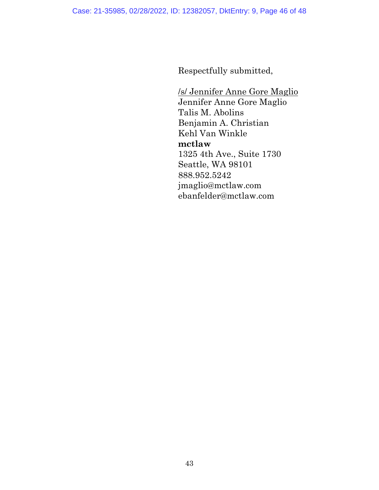Respectfully submitted,

/s/ Jennifer Anne Gore Maglio Jennifer Anne Gore Maglio Talis M. Abolins Benjamin A. Christian Kehl Van Winkle **mctlaw** 1325 4th Ave., Suite 1730 Seattle, WA 98101 888.952.5242 jmaglio@mctlaw.com ebanfelder@mctlaw.com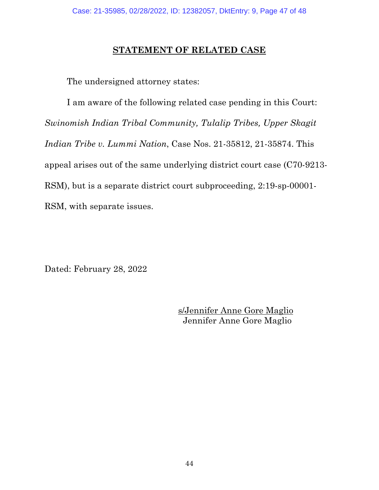### **STATEMENT OF RELATED CASE**

<span id="page-46-0"></span>The undersigned attorney states:

I am aware of the following related case pending in this Court: *Swinomish Indian Tribal Community, Tulalip Tribes, Upper Skagit Indian Tribe v. Lummi Nation*, Case Nos. 21-35812, 21-35874. This appeal arises out of the same underlying district court case (C70-9213- RSM), but is a separate district court subproceeding, 2:19-sp-00001- RSM, with separate issues.

Dated: February 28, 2022

s/Jennifer Anne Gore Maglio Jennifer Anne Gore Maglio